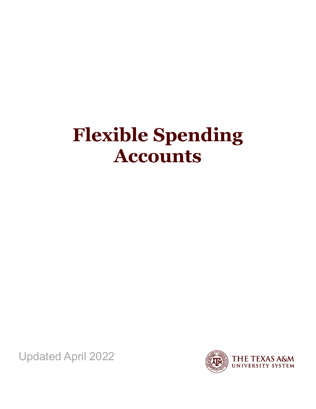# **Flexible Spending Accounts**

Updated April 2022

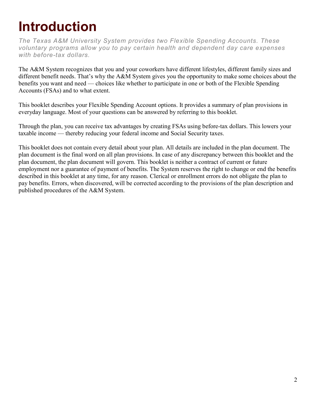# <span id="page-1-0"></span>**Introduction**

*The Texas A&M University System provides two Flexible Spending Accounts. These voluntary programs allow you to pay certain health and dependent day care expenses with before-tax dollars.*

The A&M System recognizes that you and your coworkers have different lifestyles, different family sizes and different benefit needs. That's why the A&M System gives you the opportunity to make some choices about the benefits you want and need — choices like whether to participate in one or both of the Flexible Spending Accounts (FSAs) and to what extent.

This booklet describes your Flexible Spending Account options. It provides a summary of plan provisions in everyday language. Most of your questions can be answered by referring to this booklet.

Through the plan, you can receive tax advantages by creating FSAs using before-tax dollars. This lowers your taxable income — thereby reducing your federal income and Social Security taxes.

This booklet does not contain every detail about your plan. All details are included in the plan document. The plan document is the final word on all plan provisions. In case of any discrepancy between this booklet and the plan document, the plan document will govern. This booklet is neither a contract of current or future employment nor a guarantee of payment of benefits. The System reserves the right to change or end the benefits described in this booklet at any time, for any reason. Clerical or enrollment errors do not obligate the plan to pay benefits. Errors, when discovered, will be corrected according to the provisions of the plan description and published procedures of the A&M System.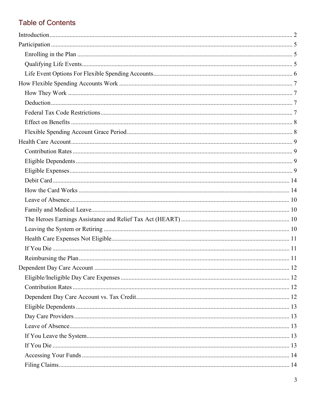# **Table of Contents**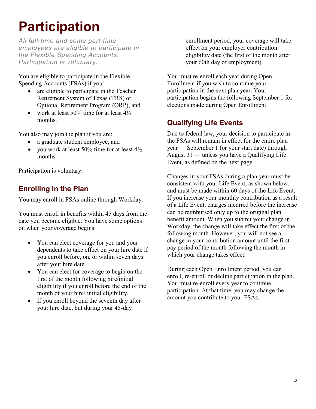# <span id="page-4-0"></span>**Participation**

*All full-time and some part-time employees are eligible to participate in the Flexible Spending Accounts. Participation is voluntary.*

You are eligible to participate in the Flexible Spending Accounts (FSAs) if you:

- are eligible to participate in the Teacher Retirement System of Texas (TRS) or Optional Retirement Program (ORP), and
- work at least 50% time for at least  $4\frac{1}{2}$ months.

You also may join the plan if you are:

- a graduate student employee, and
- you work at least 50% time for at least  $4\frac{1}{2}$ months.

Participation is voluntary.

# <span id="page-4-1"></span>**Enrolling in the Plan**

You may enroll in FSAs online through Workday.

You must enroll in benefits within 45 days from the date you become eligible. You have some options on when your coverage begins:

- You can elect coverage for you and your dependents to take effect on your hire date if you enroll before, on, or within seven days after your hire date
- You can elect for coverage to begin on the first of the month following hire/initial eligibility if you enroll before the end of the month of your hire/ initial eligibility.
- If you enroll beyond the seventh day after your hire date, but during your 45-day

enrollment period, your coverage will take effect on your employer contribution eligibility date (the first of the month after your 60th day of employment).

You must re-enroll each year during Open Enrollment if you wish to continue your participation in the next plan year. Your participation begins the following September 1 for elections made during Open Enrollment.

# <span id="page-4-2"></span>**Qualifying Life Events**

Due to federal law, your decision to participate in the FSAs will remain in effect for the entire plan year — September 1 (or your start date) through August 31 — unless you have a Qualifying Life Event, as defined on the next page.

Changes in your FSAs during a plan year must be consistent with your Life Event, as shown below, and must be made within 60 days of the Life Event. If you increase your monthly contribution as a result of a Life Event, charges incurred before the increase can be reimbursed only up to the original plan benefit amount. When you submit your change in Workday, the change will take effect the first of the following month. However, you will not see a change in your contribution amount until the first pay period of the month following the month in which your change takes effect.

During each Open Enrollment period, you can enroll, re-enroll or decline participation in the plan. You must re-enroll every year to continue participation. At that time, you may change the amount you contribute to your FSAs.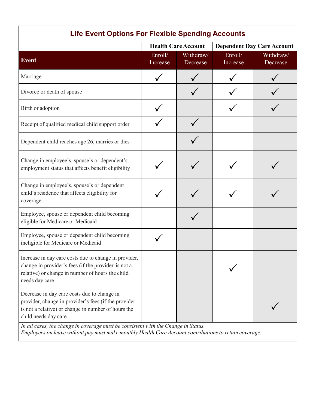<span id="page-5-0"></span>

| <b>Life Event Options For Flexible Spending Accounts</b>                                                                                                                                                                                                                 |                            |                       |                                   |                       |  |  |  |
|--------------------------------------------------------------------------------------------------------------------------------------------------------------------------------------------------------------------------------------------------------------------------|----------------------------|-----------------------|-----------------------------------|-----------------------|--|--|--|
|                                                                                                                                                                                                                                                                          | <b>Health Care Account</b> |                       | <b>Dependent Day Care Account</b> |                       |  |  |  |
| <b>Event</b>                                                                                                                                                                                                                                                             | Enroll/<br>Increase        | Withdraw/<br>Decrease | Enroll/<br>Increase               | Withdraw/<br>Decrease |  |  |  |
| Marriage                                                                                                                                                                                                                                                                 |                            |                       |                                   |                       |  |  |  |
| Divorce or death of spouse                                                                                                                                                                                                                                               |                            |                       |                                   |                       |  |  |  |
| Birth or adoption                                                                                                                                                                                                                                                        |                            |                       |                                   |                       |  |  |  |
| Receipt of qualified medical child support order                                                                                                                                                                                                                         |                            |                       |                                   |                       |  |  |  |
| Dependent child reaches age 26, marries or dies                                                                                                                                                                                                                          |                            |                       |                                   |                       |  |  |  |
| Change in employee's, spouse's or dependent's<br>employment status that affects benefit eligibility                                                                                                                                                                      |                            |                       |                                   |                       |  |  |  |
| Change in employee's, spouse's or dependent<br>child's residence that affects eligibility for<br>coverage                                                                                                                                                                |                            |                       |                                   |                       |  |  |  |
| Employee, spouse or dependent child becoming<br>eligible for Medicare or Medicaid                                                                                                                                                                                        |                            |                       |                                   |                       |  |  |  |
| Employee, spouse or dependent child becoming<br>ineligible for Medicare or Medicaid                                                                                                                                                                                      |                            |                       |                                   |                       |  |  |  |
| Increase in day care costs due to change in provider,<br>change in provider's fees (if the provider is not a<br>relative) or change in number of hours the child<br>needs day care                                                                                       |                            |                       |                                   |                       |  |  |  |
| Decrease in day care costs due to change in<br>provider, change in provider's fees (if the provider<br>is not a relative) or change in number of hours the<br>child needs day care<br>In all cases, the change in coverage must be consistent with the Change in Status. |                            |                       |                                   |                       |  |  |  |

*Employees on leave without pay must make monthly Health Care Account contributions to retain coverage.*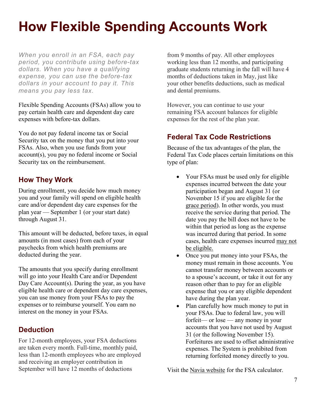# <span id="page-6-0"></span>**How Flexible Spending Accounts Work**

*When you enroll in an FSA, each pay period, you contribute using before-tax dollars. When you have a qualifying expense, you can use the before-tax dollars in your account to pay it. This means you pay less tax.*

Flexible Spending Accounts (FSAs) allow you to pay certain health care and dependent day care expenses with before-tax dollars.

You do not pay federal income tax or Social Security tax on the money that you put into your FSAs. Also, when you use funds from your account(s), you pay no federal income or Social Security tax on the reimbursement.

#### <span id="page-6-1"></span>**How They Work**

During enrollment, you decide how much money you and your family will spend on eligible health care and/or dependent day care expenses for the plan year — September 1 (or your start date) through August 31.

This amount will be deducted, before taxes, in equal amounts (in most cases) from each of your paychecks from which health premiums are deducted during the year.

The amounts that you specify during enrollment will go into your Health Care and/or Dependent Day Care Account(s). During the year, as you have eligible health care or dependent day care expenses, you can use money from your FSAs to pay the expenses or to reimburse yourself. You earn no interest on the money in your FSAs.

#### <span id="page-6-2"></span>**Deduction**

For 12-month employees, your FSA deductions are taken every month. Full-time, monthly paid, less than 12-month employees who are employed and receiving an employer contribution in September will have 12 months of deductions

from 9 months of pay. All other employees working less than 12 months, and participating graduate students returning in the fall will have 4 months of deductions taken in May, just like your other benefits deductions, such as medical and dental premiums.

However, you can continue to use your remaining FSA account balances for eligible expenses for the rest of the plan year.

# <span id="page-6-3"></span>**Federal Tax Code Restrictions**

Because of the tax advantages of the plan, the Federal Tax Code places certain limitations on this type of plan:

- Your FSAs must be used only for eligible expenses incurred between the date your participation began and August 31 (or November 15 if you are eligible for the [grace period\)](#page-7-1). In other words, you must receive the service during that period. The date you pay the bill does not have to be within that period as long as the expense was incurred during that period. In some cases, health care expenses incurred [may not](#page-10-0)  [be eligible.](#page-10-0)
- Once you put money into your FSAs, the money must remain in those accounts. You cannot transfer money between accounts or to a spouse's account, or take it out for any reason other than to pay for an eligible expense that you or any eligible dependent have during the plan year.
- Plan carefully how much money to put in your FSAs. Due to federal law, you will forfeit— or lose — any money in your accounts that you have not used by August 31 (or the following November 15). Forfeitures are used to offset administrative expenses. The System is prohibited from returning forfeited money directly to you.

Visit the Navia [website](https://www.naviabenefits.com/) for the FSA calculator.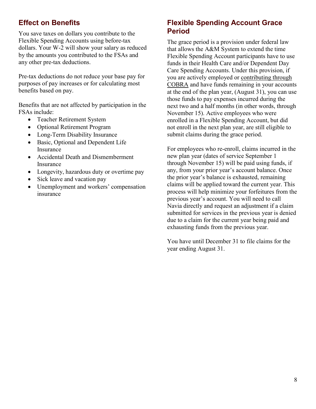# <span id="page-7-0"></span>**Effect on Benefits**

You save taxes on dollars you contribute to the Flexible Spending Accounts using before-tax dollars. Your W-2 will show your salary as reduced by the amounts you contributed to the FSAs and any other pre-tax deductions.

Pre-tax deductions do not reduce your base pay for purposes of pay increases or for calculating most benefits based on pay.

Benefits that are not affected by participation in the FSAs include:

- Teacher Retirement System
- Optional Retirement Program
- Long-Term Disability Insurance
- Basic, Optional and Dependent Life Insurance
- Accidental Death and Dismemberment Insurance
- Longevity, hazardous duty or overtime pay
- Sick leave and vacation pay
- Unemployment and workers' compensation insurance

#### <span id="page-7-1"></span>**Flexible Spending Account Grace Period**

The grace period is a provision under federal law that allows the A&M System to extend the time Flexible Spending Account participants have to use funds in their Health Care and/or Dependent Day Care Spending Accounts. Under this provision, if you are actively employed or [contributing through](#page-9-3)  [COBRA](#page-9-3) and have funds remaining in your accounts at the end of the plan year, (August 31), you can use those funds to pay expenses incurred during the next two and a half months (in other words, through November 15). Active employees who were enrolled in a Flexible Spending Account, but did not enroll in the next plan year, are still eligible to submit claims during the grace period.

For employees who re-enroll, claims incurred in the new plan year (dates of service September 1 through November 15) will be paid using funds, if any, from your prior year's account balance. Once the prior year's balance is exhausted, remaining claims will be applied toward the current year. This process will help minimize your forfeitures from the previous year's account. You will need to call Navia directly and request an adjustment if a claim submitted for services in the previous year is denied due to a claim for the current year being paid and exhausting funds from the previous year.

You have until December 31 to file claims for the year ending August 31.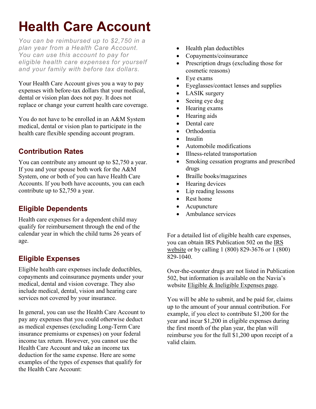# <span id="page-8-0"></span>**Health Care Account**

*You can be reimbursed up to \$2,750 in a plan year from a Health Care Account. You can use this account to pay for eligible health care expenses for yourself and your family with before tax dollars.*

Your Health Care Account gives you a way to pay expenses with before-tax dollars that your medical, dental or vision plan does not pay. It does not replace or change your current health care coverage.

You do not have to be enrolled in an A&M System medical, dental or vision plan to participate in the health care flexible spending account program.

# <span id="page-8-1"></span>**Contribution Rates**

You can contribute any amount up to \$2,750 a year. If you and your spouse both work for the A&M System, one or both of you can have Health Care Accounts. If you both have accounts, you can each contribute up to \$2,750 a year.

#### <span id="page-8-2"></span>**Eligible Dependents**

Health care expenses for a dependent child may qualify for reimbursement through the end of the calendar year in which the child turns 26 years of age.

#### <span id="page-8-3"></span>**Eligible Expenses**

Eligible health care expenses include deductibles, copayments and coinsurance payments under your medical, dental and vision coverage. They also include medical, dental, vision and hearing care services not covered by your insurance.

In general, you can use the Health Care Account to pay any expenses that you could otherwise deduct as medical expenses (excluding Long-Term Care insurance premiums or expenses) on your federal income tax return. However, you cannot use the Health Care Account and take an income tax deduction for the same expense. Here are some examples of the types of expenses that qualify for the Health Care Account:

- Health plan deductibles
- Copayments/coinsurance
- Prescription drugs (excluding those for cosmetic reasons)
- Eye exams
- Eyeglasses/contact lenses and supplies
- LASIK surgery
- Seeing eye dog
- Hearing exams
- Hearing aids
- Dental care
- Orthodontia
- Insulin
- Automobile modifications
- Illness-related transportation
- Smoking cessation programs and prescribed drugs
- Braille books/magazines
- Hearing devices
- Lip reading lessons
- Rest home
- Acupuncture
- Ambulance services

For a detailed list of eligible health care expenses, you can obtain IRS Publication 502 on the [IRS](https://www.irs.gov/)  [website](https://www.irs.gov/) or by calling 1 (800) 829-3676 or 1 (800) 829-1040.

Over-the-counter drugs are not listed in Publication 502, but information is available on the Navia's website [Eligible & Ineligible Expenses page.](https://www.naviabenefits.com/participants/resources/expenses/?benefit=health-care-fsa&msclkid=9a1b27f6b44e11ec9372eea9962fc202)

You will be able to submit, and be paid for, claims up to the amount of your annual contribution. For example, if you elect to contribute \$1,200 for the year and incur \$1,200 in eligible expenses during the first month of the plan year, the plan will reimburse you for the full \$1,200 upon receipt of a valid claim.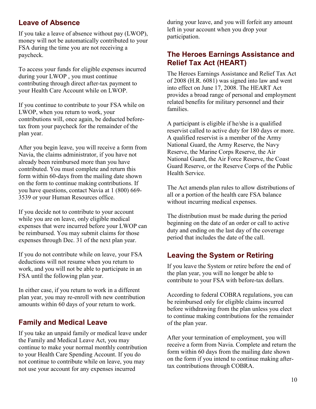#### <span id="page-9-0"></span>**Leave of Absence**

If you take a leave of absence without pay (LWOP), money will not be automatically contributed to your FSA during the time you are not receiving a paycheck.

To access your funds for eligible expenses incurred during your LWOP , you must continue contributing through direct after-tax payment to your Health Care Account while on LWOP.

If you continue to contribute to your FSA while on LWOP, when you return to work, your contributions will, once again, be deducted beforetax from your paycheck for the remainder of the plan year.

After you begin leave, you will receive a form from Navia, the claims administrator, if you have not already been reimbursed more than you have contributed. You must complete and return this form within 60-days from the mailing date shown on the form to continue making contributions. If you have questions, contact Navia at 1 (800) 669- 3539 or your Human Resources office.

If you decide not to contribute to your account while you are on leave, only eligible medical expenses that were incurred before your LWOP can be reimbursed. You may submit claims for those expenses through Dec. 31 of the next plan year.

If you do not contribute while on leave, your FSA deductions will not resume when you return to work, and you will not be able to participate in an FSA until the following plan year.

In either case, if you return to work in a different plan year, you may re-enroll with new contribution amounts within 60 days of your return to work.

#### <span id="page-9-1"></span>**Family and Medical Leave**

If you take an unpaid family or medical leave under the Family and Medical Leave Act, you may continue to make your normal monthly contribution to your Health Care Spending Account. If you do not continue to contribute while on leave, you may not use your account for any expenses incurred

during your leave, and you will forfeit any amount left in your account when you drop your participation.

#### <span id="page-9-2"></span>**The Heroes Earnings Assistance and Relief Tax Act (HEART)**

The Heroes Earnings Assistance and Relief Tax Act of 2008 (H.R. 6081) was signed into law and went into effect on June 17, 2008. The HEART Act provides a broad range of personal and employment related benefits for military personnel and their families.

A participant is eligible if he/she is a qualified reservist called to active duty for 180 days or more. A qualified reservist is a member of the Army National Guard, the Army Reserve, the Navy Reserve, the Marine Corps Reserve, the Air National Guard, the Air Force Reserve, the Coast Guard Reserve, or the Reserve Corps of the Public Health Service.

The Act amends plan rules to allow distributions of all or a portion of the health care FSA balance without incurring medical expenses.

The distribution must be made during the period beginning on the date of an order or call to active duty and ending on the last day of the coverage period that includes the date of the call.

#### <span id="page-9-3"></span>**Leaving the System or Retiring**

If you leave the System or retire before the end of the plan year, you will no longer be able to contribute to your FSA with before-tax dollars.

According to federal COBRA regulations, you can be reimbursed only for eligible claims incurred before withdrawing from the plan unless you elect to continue making contributions for the remainder of the plan year.

After your termination of employment, you will receive a form from Navia. Complete and return the form within 60 days from the mailing date shown on the form if you intend to continue making aftertax contributions through COBRA.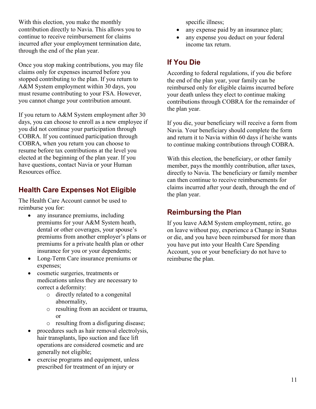With this election, you make the monthly contribution directly to Navia. This allows you to continue to receive reimbursement for claims incurred after your employment termination date, through the end of the plan year.

Once you stop making contributions, you may file claims only for expenses incurred before you stopped contributing to the plan. If you return to A&M System employment within 30 days, you must resume contributing to your FSA. However, you cannot change your contribution amount.

If you return to A&M System employment after 30 days, you can choose to enroll as a new employee if you did not continue your participation through COBRA. If you continued participation through COBRA, when you return you can choose to resume before tax contributions at the level you elected at the beginning of the plan year. If you have questions, contact Navia or your Human Resources office.

# <span id="page-10-0"></span>**Health Care Expenses Not Eligible**

The Health Care Account cannot be used to reimburse you for:

- any insurance premiums, including premiums for your A&M System heath, dental or other coverages, your spouse's premiums from another employer's plans or premiums for a private health plan or other insurance for you or your dependents;
- Long-Term Care insurance premiums or expenses;
- cosmetic surgeries, treatments or medications unless they are necessary to correct a deformity:
	- o directly related to a congenital abnormality,
	- o resulting from an accident or trauma, or
	- o resulting from a disfiguring disease;
- procedures such as hair removal electrolysis, hair transplants, lipo suction and face lift operations are considered cosmetic and are generally not eligible;
- exercise programs and equipment, unless prescribed for treatment of an injury or

specific illness;

- any expense paid by an insurance plan;
- any expense you deduct on your federal income tax return.

# <span id="page-10-1"></span>**If You Die**

According to federal regulations, if you die before the end of the plan year, your family can be reimbursed only for eligible claims incurred before your death unless they elect to continue making contributions through COBRA for the remainder of the plan year.

If you die, your beneficiary will receive a form from Navia. Your beneficiary should complete the form and return it to Navia within 60 days if he/she wants to continue making contributions through COBRA.

With this election, the beneficiary, or other family member, pays the monthly contribution, after taxes, directly to Navia. The beneficiary or family member can then continue to receive reimbursements for claims incurred after your death, through the end of the plan year.

# <span id="page-10-2"></span>**Reimbursing the Plan**

If you leave A&M System employment, retire, go on leave without pay, experience a Change in Status or die, and you have been reimbursed for more than you have put into your Health Care Spending Account, you or your beneficiary do not have to reimburse the plan.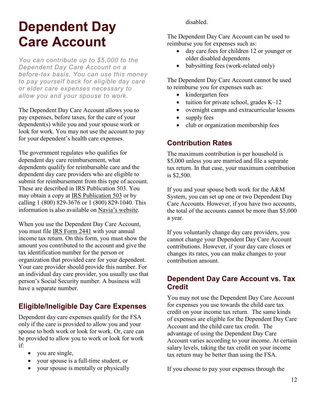# <span id="page-11-0"></span>**Dependent Day Care Account**

*You can contribute up to \$5,000 to the Dependent Day Care Account on a before-tax basis. You can use this money to pay yourself back for eligible day care or elder care expenses necessary to allow you and your spouse to work.* 

The Dependent Day Care Account allows you to pay expenses, before taxes, for the care of your dependent(s) while you and your spouse work or look for work. You may not use the account to pay for your dependent's health care expenses.

The government regulates who qualifies for dependent day care reimbursement, what dependents qualify for reimbursable care and the dependent day care providers who are eligible to submit for reimbursement from this type of account. These are described in IRS Publication 503. You may obtain a copy at [IRS Publication 503](https://www.irs.gov/forms-pubs/about-publication-503) or by calling 1 (800) 829-3676 or 1 (800) 829-1040. This information is also available on [Navia's](https://www.naviabenefits.com/participants/resources/expenses/?benefit=health-care-fsa&msclkid=9a1b27f6b44e11ec9372eea9962fc202) website.

When you use the Dependent Day Care Account, you must file [IRS Form 2441](https://www.irs.gov/forms-pubs/about-form-2441) with your annual income tax return. On this form, you must show the amount you contributed to the account and give the tax identification number for the person or organization that provided care for your dependent. Your care provider should provide this number. For an individual day care provider, you usually use that person's Social Security number. A business will have a separate number.

# <span id="page-11-1"></span>**Eligible/Ineligible Day Care Expenses**

Dependent day care expenses qualify for the FSA only if the care is provided to allow you and your spouse to both work or look for work. Or, care can be provided to allow you to work or look for work if:

- you are single,
- your spouse is a full-time student, or
- your spouse is mentally or physically

disabled.

The Dependent Day Care Account can be used to reimburse you for expenses such as:

- day care fees for children 12 or younger or older disabled dependents
- babysitting fees (work-related only)

The Dependent Day Care Account cannot be used to reimburse you for expenses such as:

- kindergarten fees
- tuition for private school, grades  $K-12$
- overnight camps and extracurricular lessons
- supply fees
- club or organization membership fees

# <span id="page-11-2"></span>**Contribution Rates**

The maximum contribution is per household is \$5,000 unless you are married and file a separate tax return. In that case, your maximum contribution is \$2,500.

If you and your spouse both work for the A&M System, you can set up one or two Dependent Day Care Accounts. However, if you have two accounts, the total of the accounts cannot be more than \$5,000 a year.

If you voluntarily change day care providers, you cannot change your Dependent Day Care Account contributions. However, if your day care closes or changes its rates, you can make changes to your contribution amount.

#### <span id="page-11-3"></span>**Dependent Day Care Account vs. Tax Credit**

You may not use the Dependent Day Care Account for expenses you use towards the child care tax credit on your income tax return. The same kinds of expenses are eligible for the Dependent Day Care Account and the child care tax credit. The advantage of using the Dependent Day Care Account varies according to your income. At certain salary levels, taking the tax credit on your income tax return may be better than using the FSA.

If you choose to pay your expenses through the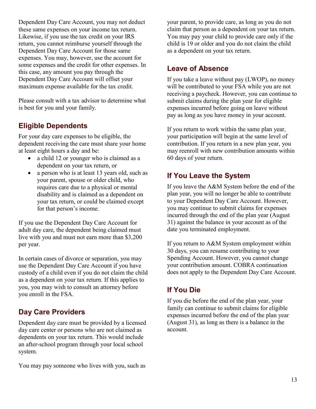Dependent Day Care Account, you may not deduct these same expenses on your income tax return. Likewise, if you use the tax credit on your IRS return, you cannot reimburse yourself through the Dependent Day Care Account for those same expenses. You may, however, use the account for some expenses and the credit for other expenses. In this case, any amount you pay through the Dependent Day Care Account will offset your maximum expense available for the tax credit.

Please consult with a tax advisor to determine what is best for you and your family.

#### <span id="page-12-0"></span>**Eligible Dependents**

For your day care expenses to be eligible, the dependent receiving the care must share your home at least eight hours a day and be:

- a child 12 or younger who is claimed as a dependent on your tax return, or
- a person who is at least 13 years old, such as your parent, spouse or older child, who requires care due to a physical or mental disability and is claimed as a dependent on your tax return, or could be claimed except for that person's income.

If you use the Dependent Day Care Account for adult day care, the dependent being claimed must live with you and must not earn more than \$3,200 per year.

In certain cases of divorce or separation, you may use the Dependent Day Care Account if you have custody of a child even if you do not claim the child as a dependent on your tax return. If this applies to you, you may wish to consult an attorney before you enroll in the FSA.

# <span id="page-12-1"></span>**Day Care Providers**

Dependent day care must be provided by a licensed day care center or persons who are not claimed as dependents on your tax return. This would include an after-school program through your local school system.

You may pay someone who lives with you, such as

your parent, to provide care, as long as you do not claim that person as a dependent on your tax return. You may pay your child to provide care only if the child is 19 or older and you do not claim the child as a dependent on your tax return.

#### <span id="page-12-2"></span>**Leave of Absence**

If you take a leave without pay (LWOP), no money will be contributed to your FSA while you are not receiving a paycheck. However, you can continue to submit claims during the plan year for eligible expenses incurred before going on leave without pay as long as you have money in your account.

If you return to work within the same plan year, your participation will begin at the same level of contribution. If you return in a new plan year, you may reenroll with new contribution amounts within 60 days of your return.

# <span id="page-12-3"></span>**If You Leave the System**

If you leave the A&M System before the end of the plan year, you will no longer be able to contribute to your Dependent Day Care Account. However, you may continue to submit claims for expenses incurred through the end of the plan year (August 31) against the balance in your account as of the date you terminated employment.

If you return to A&M System employment within 30 days, you can resume contributing to your Spending Account. However, you cannot change your contribution amount. COBRA continuation does not apply to the Dependent Day Care Account.

# <span id="page-12-4"></span>**If You Die**

If you die before the end of the plan year, your family can continue to submit claims for eligible expenses incurred before the end of the plan year (August 31), as long as there is a balance in the account.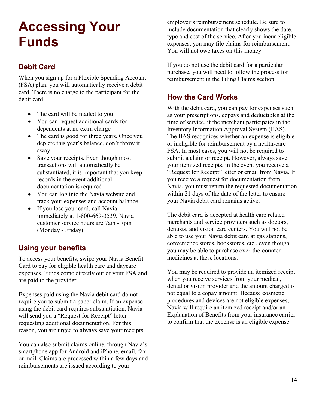# <span id="page-13-2"></span>**Accessing Your Funds**

# <span id="page-13-0"></span>**Debit Card**

When you sign up for a Flexible Spending Account (FSA) plan, you will automatically receive a debit card. There is no charge to the participant for the debit card.

- The card will be mailed to you
- You can request additional cards for dependents at no extra charge
- The card is good for three years. Once you deplete this year's balance, don't throw it away.
- Save your receipts. Even though most transactions will automatically be substantiated, it is important that you keep records in the event additional documentation is required
- You can log into the [Navia website](https://app.naviabenefits.com/app/#/login) and track your expenses and account balance.
- If you lose your card, call Navia immediately at 1-800-669-3539. Navia customer service hours are 7am - 7pm (Monday - Friday)

# <span id="page-13-1"></span>**Using your benefits**

To access your benefits, swipe your Navia Benefit Card to pay for eligible health care and daycare expenses. Funds come directly out of your FSA and are paid to the provider.

Expenses paid using the Navia debit card do not require you to submit a paper claim. If an expense using the debit card requires substantiation, Navia will send you a "Request for Receipt" letter requesting additional documentation. For this reason, you are urged to always save your receipts.

You can also submit claims online, through Navia's smartphone app for Android and iPhone, email, fax or mail. Claims are processed within a few days and reimbursements are issued according to your

employer's reimbursement schedule. Be sure to include documentation that clearly shows the date, type and cost of the service. After you incur eligible expenses, you may file claims for reimbursement. You will not owe taxes on this money.

If you do not use the debit card for a particular purchase, you will need to follow the process for reimbursement in the Filing Claims section.

# **How the Card Works**

With the debit card, you can pay for expenses such as your prescriptions, copays and deductibles at the time of service, if the merchant participates in the Inventory Information Approval System (IIAS). The IIAS recognizes whether an expense is eligible or ineligible for reimbursement by a health-care FSA. In most cases, you will not be required to submit a claim or receipt. However, always save your itemized receipts, in the event you receive a "Request for Receipt" letter or email from Navia. If you receive a request for documentation from Navia, you must return the requested documentation within 21 days of the date of the letter to ensure your Navia debit card remains active.

The debit card is accepted at health care related merchants and service providers such as doctors, dentists, and vision care centers. You will not be able to use your Navia debit card at gas stations, convenience stores, bookstores, etc., even though you may be able to purchase over-the-counter medicines at these locations.

You may be required to provide an itemized receipt when you receive services from your medical, dental or vision provider and the amount charged is not equal to a copay amount. Because cosmetic procedures and devices are not eligible expenses, Navia will require an itemized receipt and/or an Explanation of Benefits from your insurance carrier to confirm that the expense is an eligible expense.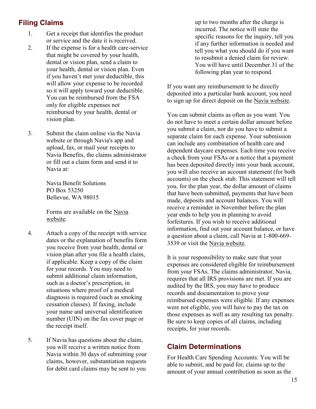# **Filing Claims**

- 1. Get a receipt that identifies the product or service and the date it is received.
- 2. If the expense is for a health care-service that might be covered by your health, dental or vision plan, send a claim to your health, dental or vision plan. Even if you haven't met your deductible, this will allow your expense to be recorded so it will apply toward your deductible. You can be reimbursed from the FSA only for eligible expenses not reimbursed by your health, dental or vision plan.
- 3. Submit the claim online via the Navia website or through Navia's app and upload, fax, or mail your receipts to Navia Benefits, the claims administrator or fill out a claim form and send it to Navia at:

Navia Benefit Solutions PO Box 53250 Bellevue, WA 98015

Forms are available on the [Navia](https://www.naviabenefits.com/) [website.](https://www.naviabenefits.com/)

- 4. Attach a copy of the receipt with service dates or the explanation of benefits form you receive from your health, dental or vision plan after you file a health claim, if applicable. Keep a copy of the claim for your records. You may need to submit additional claim information, such as a doctor's prescription, in situations where proof of a medical diagnosis is required (such as smoking cessation classes). If faxing, include your name and universal identification number (UIN) on the fax cover page or the receipt itself.
- 5. If Navia has questions about the claim, you will receive a written notice from Navia within 30 days of submitting your claims, however, substantiation requests for debit card claims may be sent to you

up to two months after the charge is incurred. The notice will state the specific reasons for the inquiry, tell you if any further information is needed and tell you what you should do if you want to resubmit a denied claim for review. You will have until December 31 of the following plan year to respond.

If you want any reimbursement to be directly deposited into a particular bank account, you need to sign up for direct deposit on the [Navia website.](https://www.naviabenefits.com/)

You can submit claims as often as you want. You do not have to meet a certain dollar amount before you submit a claim, nor do you have to submit a separate claim for each expense. Your submission can include any combination of health care and dependent daycare expenses. Each time you receive a check from your FSAs or a notice that a payment has been deposited directly into your bank account, you will also receive an account statement (for both accounts) on the check stub. This statement will tell you, for the plan year, the dollar amount of claims that have been submitted, payments that have been made, deposits and account balances. You will receive a reminder in November before the plan year ends to help you in planning to avoid forfeitures. If you wish to receive additional information, find out your account balance, or have a question about a claim, call Navia at 1-800-669- 3539 or visit the [Navia website.](https://www.naviabenefits.com/)

It is your responsibility to make sure that your expenses are considered eligible for reimbursement from your FSAs. The claims administrator, Navia, requires that all IRS provisions are met. If you are audited by the IRS, you may have to produce records and documentation to prove your reimbursed expenses were eligible. If any expenses were not eligible, you will have to pay the tax on those expenses as well as any resulting tax penalty. Be sure to keep copies of all claims, including receipts, for your records.

#### <span id="page-14-0"></span>**Claim Determinations**

For Health Care Spending Accounts: You will be able to submit, and be paid for, claims up to the amount of your annual contribution as soon as the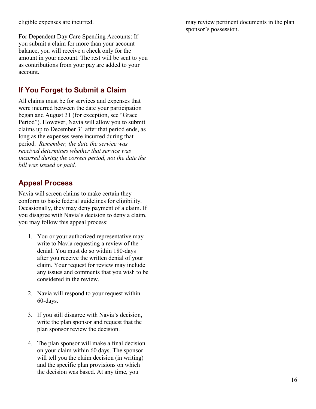eligible expenses are incurred.

For Dependent Day Care Spending Accounts: If you submit a claim for more than your account balance, you will receive a check only for the amount in your account. The rest will be sent to you as contributions from your pay are added to your account.

# **If You Forget to Submit a Claim**

All claims must be for services and expenses that were incurred between the date your participation began and August 31 (for exception, see ["Grace](#page-7-1)  [Period"](#page-7-1)). However, Navia will allow you to submit claims up to December 31 after that period ends, as long as the expenses were incurred during that period. *Remember, the date the service was received determines whether that service was incurred during the correct period, not the date the bill was issued or paid.*

# <span id="page-15-0"></span>**Appeal Process**

Navia will screen claims to make certain they conform to basic federal guidelines for eligibility. Occasionally, they may deny payment of a claim. If you disagree with Navia's decision to deny a claim, you may follow this appeal process:

- 1. You or your authorized representative may write to Navia requesting a review of the denial. You must do so within 180-days after you receive the written denial of your claim. Your request for review may include any issues and comments that you wish to be considered in the review.
- 2. Navia will respond to your request within 60-days.
- 3. If you still disagree with Navia's decision, write the plan sponsor and request that the plan sponsor review the decision.
- 4. The plan sponsor will make a final decision on your claim within 60 days. The sponsor will tell you the claim decision (in writing) and the specific plan provisions on which the decision was based. At any time, you

may review pertinent documents in the plan sponsor's possession.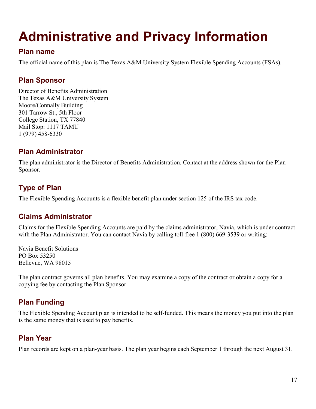# <span id="page-16-0"></span>**Administrative and Privacy Information**

#### <span id="page-16-1"></span>**Plan name**

The official name of this plan is The Texas A&M University System Flexible Spending Accounts (FSAs).

### <span id="page-16-2"></span>**Plan Sponsor**

Director of Benefits Administration The Texas A&M University System Moore/Connally Building 301 Tarrow St., 5th Floor College Station, TX 77840 Mail Stop: 1117 TAMU 1 (979) 458-6330

# <span id="page-16-3"></span>**Plan Administrator**

The plan administrator is the Director of Benefits Administration. Contact at the address shown for the Plan Sponsor.

# <span id="page-16-4"></span>**Type of Plan**

The Flexible Spending Accounts is a flexible benefit plan under section 125 of the IRS tax code.

#### <span id="page-16-5"></span>**Claims Administrator**

Claims for the Flexible Spending Accounts are paid by the claims administrator, Navia, which is under contract with the Plan Administrator. You can contact Navia by calling toll-free 1 (800) 669-3539 or writing:

Navia Benefit Solutions PO Box 53250 Bellevue, WA 98015

The plan contract governs all plan benefits. You may examine a copy of the contract or obtain a copy for a copying fee by contacting the Plan Sponsor.

# <span id="page-16-6"></span>**Plan Funding**

The Flexible Spending Account plan is intended to be self-funded. This means the money you put into the plan is the same money that is used to pay benefits.

# <span id="page-16-7"></span>**Plan Year**

Plan records are kept on a plan-year basis. The plan year begins each September 1 through the next August 31.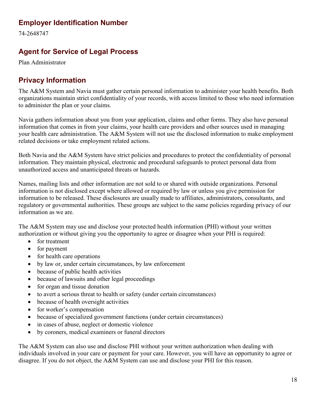#### <span id="page-17-0"></span>**Employer Identification Number**

74-2648747

# <span id="page-17-1"></span>**Agent for Service of Legal Process**

Plan Administrator

### <span id="page-17-2"></span>**Privacy Information**

The A&M System and Navia must gather certain personal information to administer your health benefits. Both organizations maintain strict confidentiality of your records, with access limited to those who need information to administer the plan or your claims.

Navia gathers information about you from your application, claims and other forms. They also have personal information that comes in from your claims, your health care providers and other sources used in managing your health care administration. The A&M System will not use the disclosed information to make employment related decisions or take employment related actions.

Both Navia and the A&M System have strict policies and procedures to protect the confidentiality of personal information. They maintain physical, electronic and procedural safeguards to protect personal data from unauthorized access and unanticipated threats or hazards.

Names, mailing lists and other information are not sold to or shared with outside organizations. Personal information is not disclosed except where allowed or required by law or unless you give permission for information to be released. These disclosures are usually made to affiliates, administrators, consultants, and regulatory or governmental authorities. These groups are subject to the same policies regarding privacy of our information as we are.

The A&M System may use and disclose your protected health information (PHI) without your written authorization or without giving you the opportunity to agree or disagree when your PHI is required:

- for treatment
- for payment
- for health care operations
- by law or, under certain circumstances, by law enforcement
- because of public health activities
- because of lawsuits and other legal proceedings
- for organ and tissue donation
- to avert a serious threat to health or safety (under certain circumstances)
- because of health oversight activities
- for worker's compensation
- because of specialized government functions (under certain circumstances)
- in cases of abuse, neglect or domestic violence
- by coroners, medical examiners or funeral directors

The A&M System can also use and disclose PHI without your written authorization when dealing with individuals involved in your care or payment for your care. However, you will have an opportunity to agree or disagree. If you do not object, the A&M System can use and disclose your PHI for this reason.